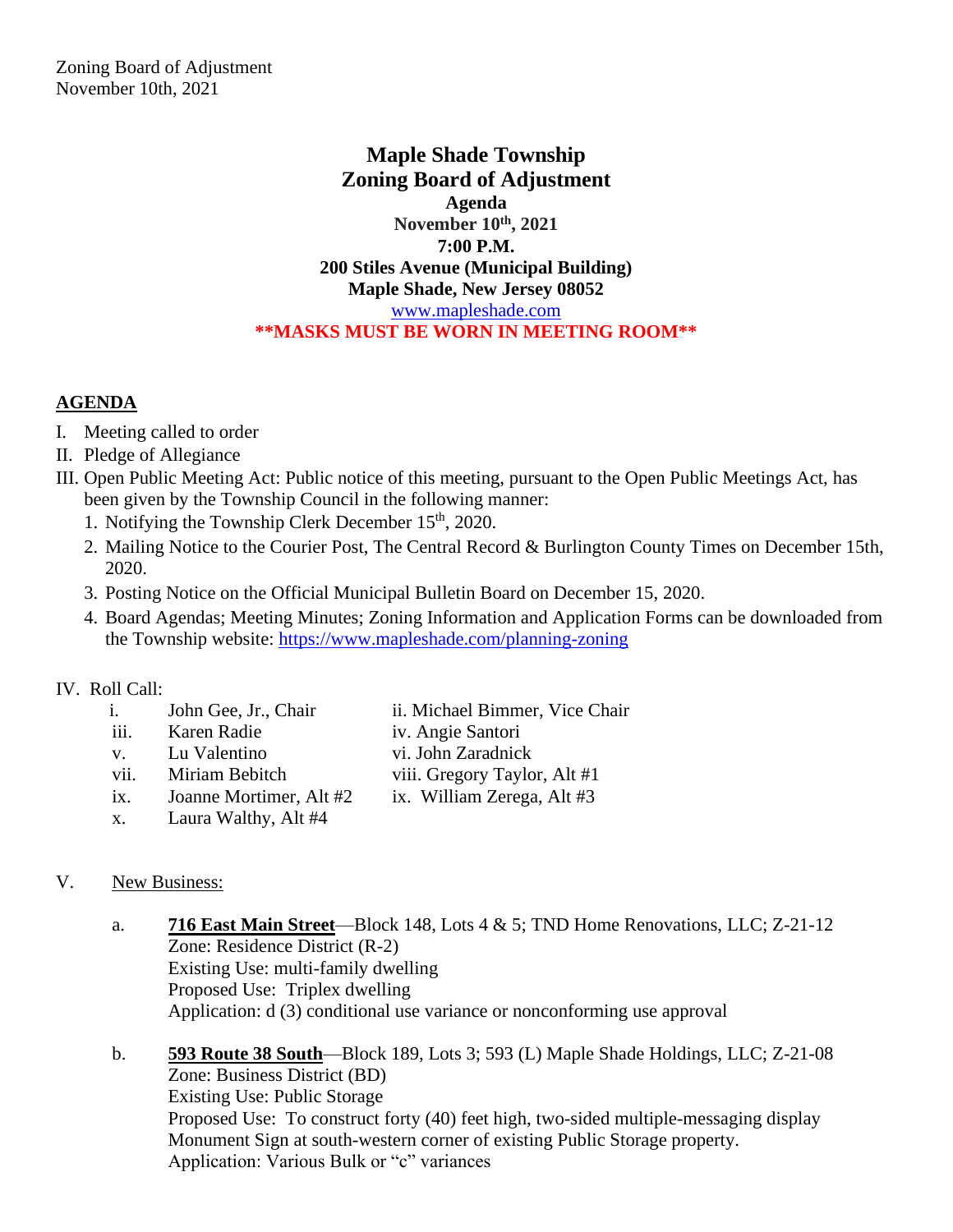**Maple Shade Township Zoning Board of Adjustment Agenda November 10 th, 2021 7:00 P.M. 200 Stiles Avenue (Municipal Building) Maple Shade, New Jersey 08052** [www.mapleshade.com](http://www.mapleshade.com/) **\*\*MASKS MUST BE WORN IN MEETING ROOM\*\***

## **AGENDA**

- I. Meeting called to order
- II. Pledge of Allegiance
- III. Open Public Meeting Act: Public notice of this meeting, pursuant to the Open Public Meetings Act, has been given by the Township Council in the following manner:
	- 1. Notifying the Township Clerk December 15<sup>th</sup>, 2020.
	- 2. Mailing Notice to the Courier Post, The Central Record & Burlington County Times on December 15th, 2020.
	- 3. Posting Notice on the Official Municipal Bulletin Board on December 15, 2020.
	- 4. Board Agendas; Meeting Minutes; Zoning Information and Application Forms can be downloaded from the Township website:<https://www.mapleshade.com/planning-zoning>

## IV. Roll Call:

- i. John Gee, Jr., Chair ii. Michael Bimmer, Vice Chair
- iii. Karen Radie iv. Angie Santori
- v. Lu Valentino vi. John Zaradnick
- vii. Miriam Bebitch viii. Gregory Taylor, Alt #1
- ix. Joanne Mortimer, Alt #2 ix. William Zerega, Alt #3
- x. Laura Walthy, Alt #4

## V. New Business:

- a. **716 East Main Street**—Block 148, Lots 4 & 5; TND Home Renovations, LLC; Z-21-12 Zone: Residence District (R-2) Existing Use: multi-family dwelling Proposed Use: Triplex dwelling Application: d (3) conditional use variance or nonconforming use approval
- b. **593 Route 38 South**—Block 189, Lots 3; 593 (L) Maple Shade Holdings, LLC; Z-21-08 Zone: Business District (BD) Existing Use: Public Storage Proposed Use: To construct forty (40) feet high, two-sided multiple-messaging display Monument Sign at south-western corner of existing Public Storage property. Application: Various Bulk or "c" variances